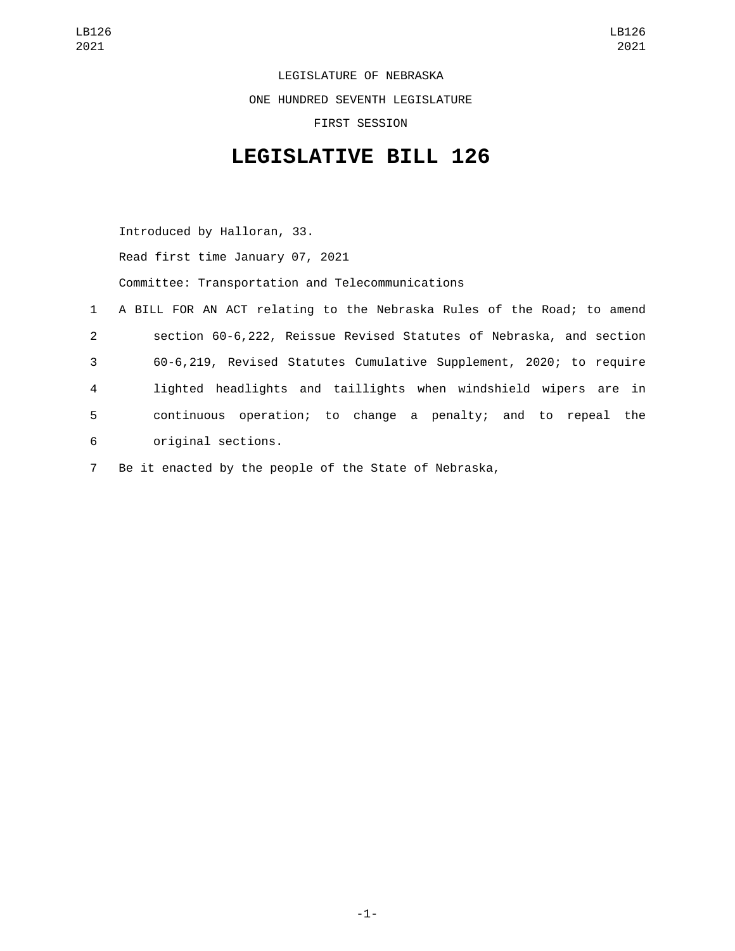LEGISLATURE OF NEBRASKA ONE HUNDRED SEVENTH LEGISLATURE FIRST SESSION

## **LEGISLATIVE BILL 126**

Introduced by Halloran, 33.

Read first time January 07, 2021

Committee: Transportation and Telecommunications

- 1 A BILL FOR AN ACT relating to the Nebraska Rules of the Road; to amend 2 section 60-6,222, Reissue Revised Statutes of Nebraska, and section 3 60-6,219, Revised Statutes Cumulative Supplement, 2020; to require 4 lighted headlights and taillights when windshield wipers are in 5 continuous operation; to change a penalty; and to repeal the original sections.6
- 7 Be it enacted by the people of the State of Nebraska,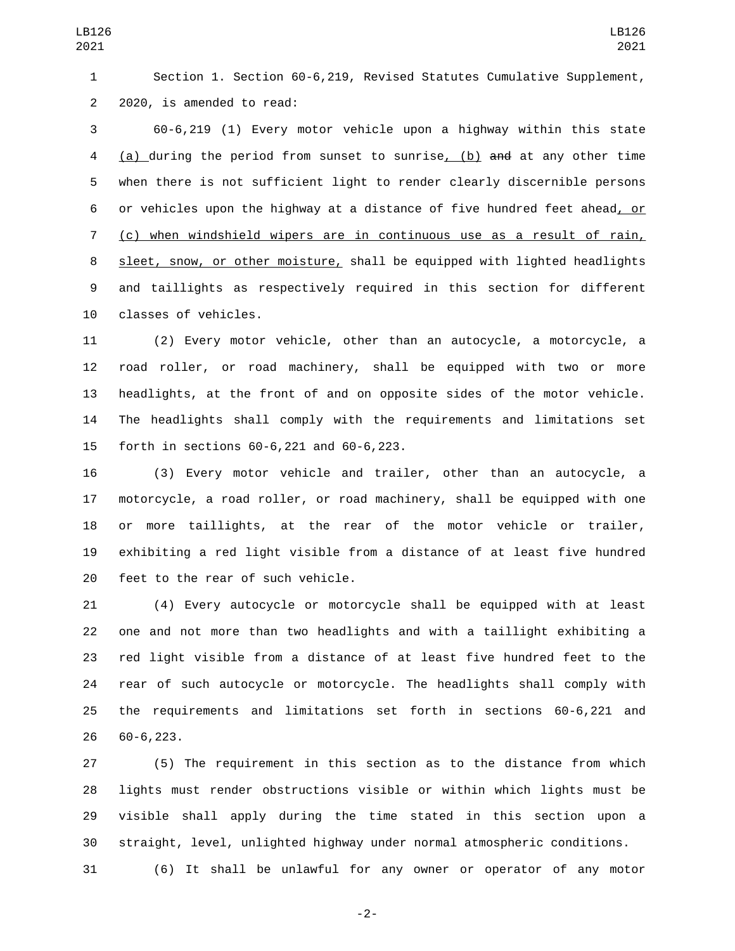Section 1. Section 60-6,219, Revised Statutes Cumulative Supplement, 2 2020, is amended to read:

 60-6,219 (1) Every motor vehicle upon a highway within this state (a) during the period from sunset to sunrise, (b) and at any other time when there is not sufficient light to render clearly discernible persons or vehicles upon the highway at a distance of five hundred feet ahead, or (c) when windshield wipers are in continuous use as a result of rain, 8 sleet, snow, or other moisture, shall be equipped with lighted headlights and taillights as respectively required in this section for different 10 classes of vehicles.

 (2) Every motor vehicle, other than an autocycle, a motorcycle, a road roller, or road machinery, shall be equipped with two or more headlights, at the front of and on opposite sides of the motor vehicle. The headlights shall comply with the requirements and limitations set forth in sections 60-6,221 and 60-6,223.15

 (3) Every motor vehicle and trailer, other than an autocycle, a motorcycle, a road roller, or road machinery, shall be equipped with one or more taillights, at the rear of the motor vehicle or trailer, exhibiting a red light visible from a distance of at least five hundred 20 feet to the rear of such vehicle.

 (4) Every autocycle or motorcycle shall be equipped with at least one and not more than two headlights and with a taillight exhibiting a red light visible from a distance of at least five hundred feet to the rear of such autocycle or motorcycle. The headlights shall comply with the requirements and limitations set forth in sections 60-6,221 and 60-6,223.26

 (5) The requirement in this section as to the distance from which lights must render obstructions visible or within which lights must be visible shall apply during the time stated in this section upon a straight, level, unlighted highway under normal atmospheric conditions.

(6) It shall be unlawful for any owner or operator of any motor

-2-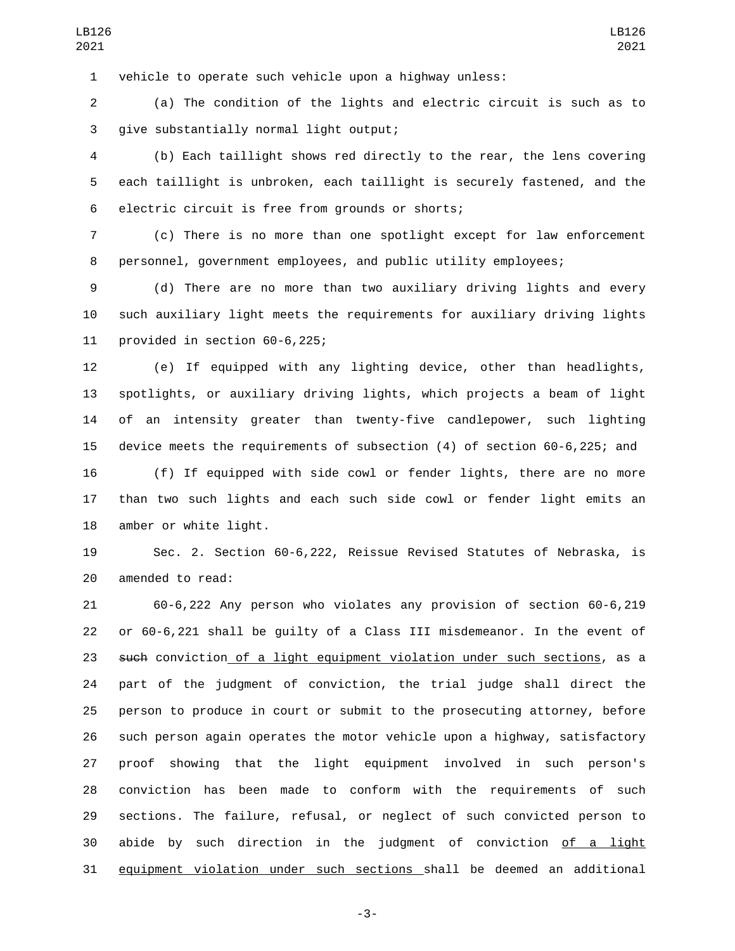vehicle to operate such vehicle upon a highway unless:

 (a) The condition of the lights and electric circuit is such as to give substantially normal light output;3

 (b) Each taillight shows red directly to the rear, the lens covering each taillight is unbroken, each taillight is securely fastened, and the 6 electric circuit is free from grounds or shorts;

 (c) There is no more than one spotlight except for law enforcement personnel, government employees, and public utility employees;

 (d) There are no more than two auxiliary driving lights and every such auxiliary light meets the requirements for auxiliary driving lights 11 provided in section  $60-6,225$ ;

 (e) If equipped with any lighting device, other than headlights, spotlights, or auxiliary driving lights, which projects a beam of light of an intensity greater than twenty-five candlepower, such lighting device meets the requirements of subsection (4) of section 60-6,225; and

 (f) If equipped with side cowl or fender lights, there are no more than two such lights and each such side cowl or fender light emits an 18 amber or white light.

 Sec. 2. Section 60-6,222, Reissue Revised Statutes of Nebraska, is 20 amended to read:

 60-6,222 Any person who violates any provision of section 60-6,219 or 60-6,221 shall be guilty of a Class III misdemeanor. In the event of 23 such conviction of a light equipment violation under such sections, as a part of the judgment of conviction, the trial judge shall direct the person to produce in court or submit to the prosecuting attorney, before such person again operates the motor vehicle upon a highway, satisfactory proof showing that the light equipment involved in such person's conviction has been made to conform with the requirements of such sections. The failure, refusal, or neglect of such convicted person to abide by such direction in the judgment of conviction of a light equipment violation under such sections shall be deemed an additional

-3-